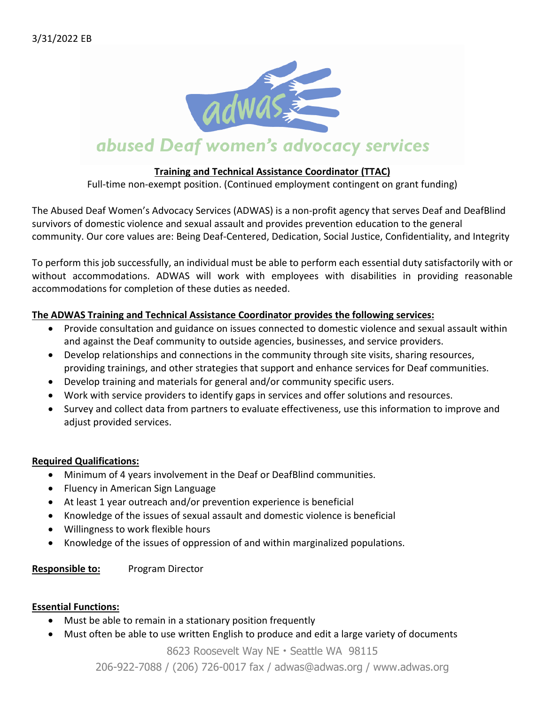

#### **Training and Technical Assistance Coordinator (TTAC)**

Full-time non-exempt position. (Continued employment contingent on grant funding)

The Abused Deaf Women's Advocacy Services (ADWAS) is a non-profit agency that serves Deaf and DeafBlind survivors of domestic violence and sexual assault and provides prevention education to the general community. Our core values are: Being Deaf-Centered, Dedication, Social Justice, Confidentiality, and Integrity

To perform this job successfully, an individual must be able to perform each essential duty satisfactorily with or without accommodations. ADWAS will work with employees with disabilities in providing reasonable accommodations for completion of these duties as needed.

#### **The ADWAS Training and Technical Assistance Coordinator provides the following services:**

- Provide consultation and guidance on issues connected to domestic violence and sexual assault within and against the Deaf community to outside agencies, businesses, and service providers.
- Develop relationships and connections in the community through site visits, sharing resources, providing trainings, and other strategies that support and enhance services for Deaf communities.
- Develop training and materials for general and/or community specific users.
- Work with service providers to identify gaps in services and offer solutions and resources.
- Survey and collect data from partners to evaluate effectiveness, use this information to improve and adjust provided services.

#### **Required Qualifications:**

- Minimum of 4 years involvement in the Deaf or DeafBlind communities.
- Fluency in American Sign Language
- At least 1 year outreach and/or prevention experience is beneficial
- Knowledge of the issues of sexual assault and domestic violence is beneficial
- Willingness to work flexible hours
- Knowledge of the issues of oppression of and within marginalized populations.

**Responsible to:** Program Director

#### **Essential Functions:**

- Must be able to remain in a stationary position frequently
- Must often be able to use written English to produce and edit a large variety of documents

8623 Roosevelt Way NE • Seattle WA 98115

206-922-7088 / (206) 726-0017 fax / adwas@adwas.org / www.adwas.org